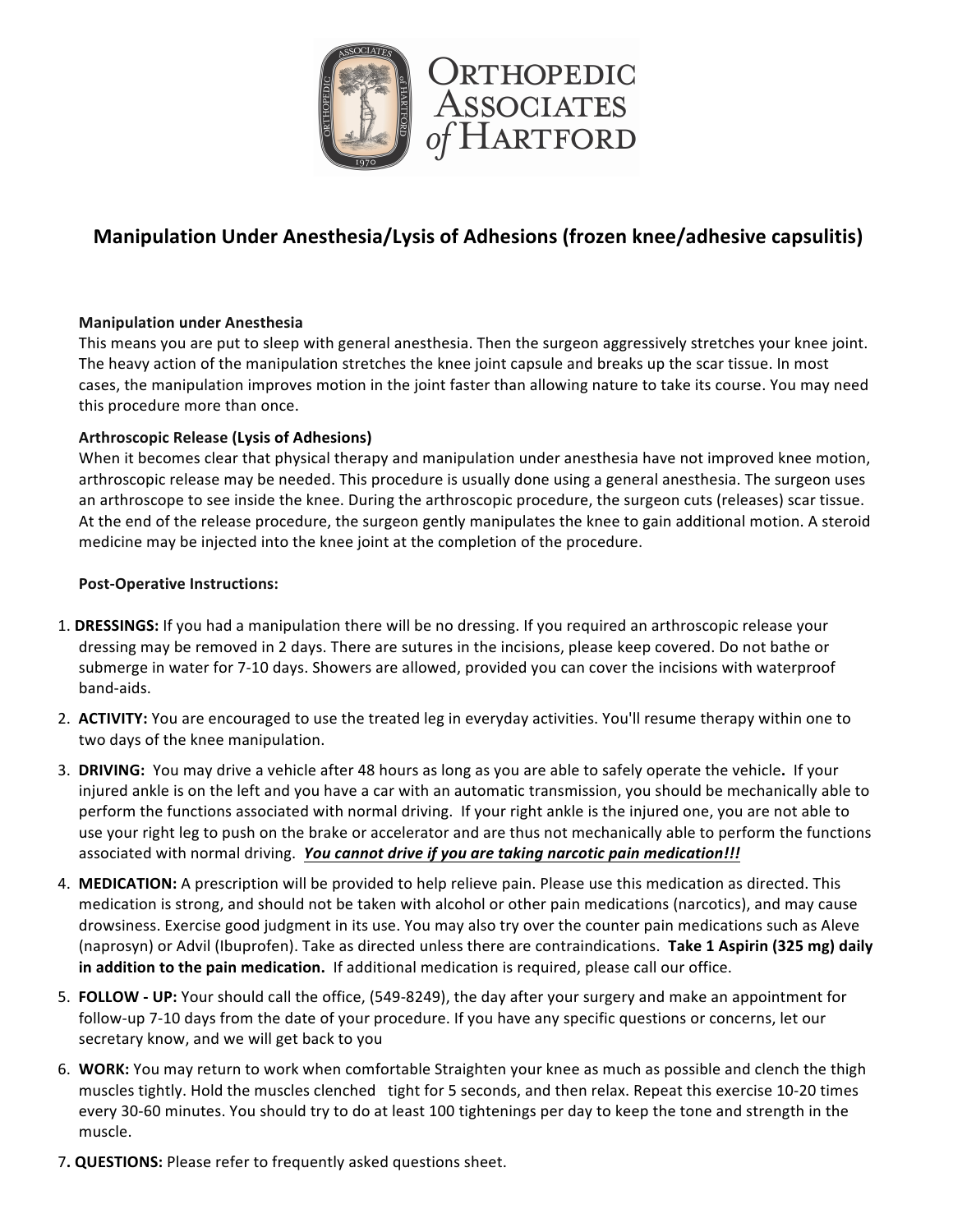

# **Manipulation Under Anesthesia/Lysis of Adhesions (frozen knee/adhesive capsulitis)**

### **Manipulation under Anesthesia**

This means you are put to sleep with general anesthesia. Then the surgeon aggressively stretches your knee joint. The heavy action of the manipulation stretches the knee joint capsule and breaks up the scar tissue. In most cases, the manipulation improves motion in the joint faster than allowing nature to take its course. You may need this procedure more than once.

#### Arthroscopic Release (Lysis of Adhesions)

When it becomes clear that physical therapy and manipulation under anesthesia have not improved knee motion, arthroscopic release may be needed. This procedure is usually done using a general anesthesia. The surgeon uses an arthroscope to see inside the knee. During the arthroscopic procedure, the surgeon cuts (releases) scar tissue. At the end of the release procedure, the surgeon gently manipulates the knee to gain additional motion. A steroid medicine may be injected into the knee joint at the completion of the procedure.

#### **Post-Operative Instructions:**

- 1. DRESSINGS: If you had a manipulation there will be no dressing. If you required an arthroscopic release your dressing may be removed in 2 days. There are sutures in the incisions, please keep covered. Do not bathe or submerge in water for 7-10 days. Showers are allowed, provided you can cover the incisions with waterproof band-aids.
- 2. ACTIVITY: You are encouraged to use the treated leg in everyday activities. You'll resume therapy within one to two days of the knee manipulation.
- 3. DRIVING: You may drive a vehicle after 48 hours as long as you are able to safely operate the vehicle. If your injured ankle is on the left and you have a car with an automatic transmission, you should be mechanically able to perform the functions associated with normal driving. If your right ankle is the injured one, you are not able to use your right leg to push on the brake or accelerator and are thus not mechanically able to perform the functions associated with normal driving. You cannot drive if you are taking narcotic pain medication!!!
- 4. **MEDICATION:** A prescription will be provided to help relieve pain. Please use this medication as directed. This medication is strong, and should not be taken with alcohol or other pain medications (narcotics), and may cause drowsiness. Exercise good judgment in its use. You may also try over the counter pain medications such as Aleve (naprosyn) or Advil (Ibuprofen). Take as directed unless there are contraindications. Take 1 Aspirin (325 mg) daily in addition to the pain medication. If additional medication is required, please call our office.
- 5. **FOLLOW** UP: Your should call the office, (549-8249), the day after your surgery and make an appointment for follow-up 7-10 days from the date of your procedure. If you have any specific questions or concerns, let our secretary know, and we will get back to you
- 6. WORK: You may return to work when comfortable Straighten your knee as much as possible and clench the thigh muscles tightly. Hold the muscles clenched tight for 5 seconds, and then relax. Repeat this exercise 10-20 times every 30-60 minutes. You should try to do at least 100 tightenings per day to keep the tone and strength in the muscle.
- 7. **QUESTIONS:** Please refer to frequently asked questions sheet.